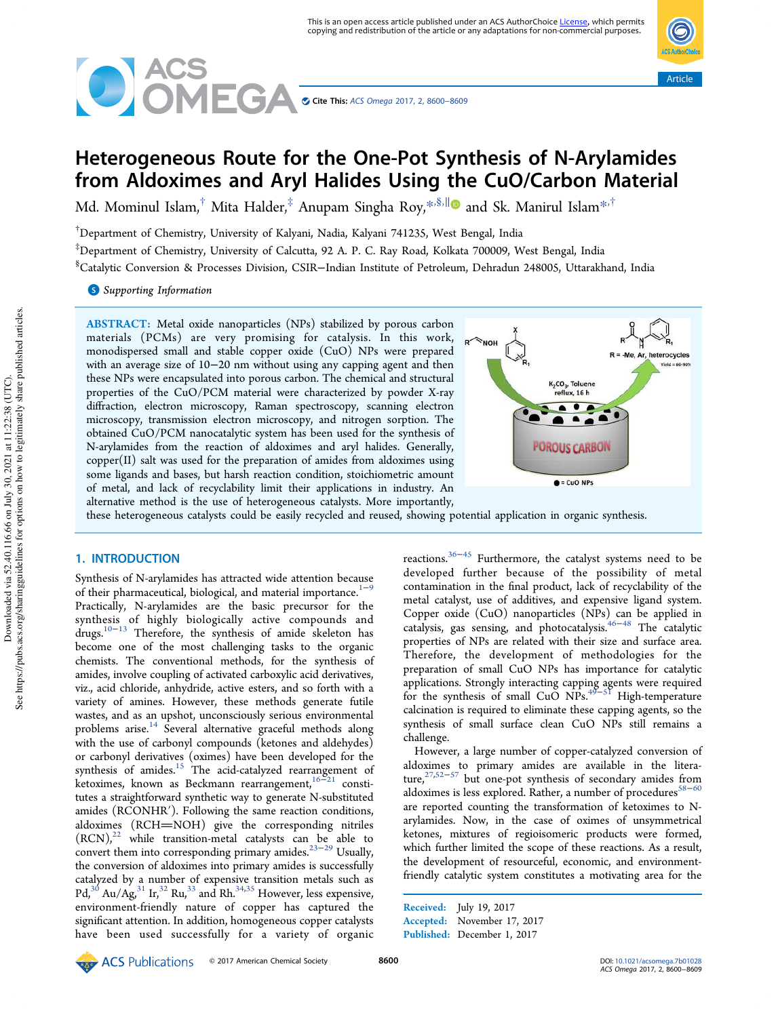



# Heterogeneous Route for the One-Pot Synthesis of N‑Arylamides from Aldoximes and Aryl Halides Using the CuO/Carbon Material

Md. Mominul Islam, $^\dagger$  Mita Halder, $^\ddagger$  Anupam Singha Roy, $^{*,\S,\parallel}$  and Sk. Manirul Islam $^{*,\dagger}$ 

†Department of Chemistry, University of Kalyani, Nadia, Kalyani 741235, West Bengal, India

‡Department of Chemistry, University of Calcutta, 92 A. P. C. Ray Road, Kolkata 700009, West Bengal, India

§Catalytic Conversion & Processes Division, CSIR−Indian Institute of Petroleum, Dehradun 248005, Uttarakhand, India

**S** Supporting Information

ABSTRACT: Metal oxide nanoparticles (NPs) stabilized by porous carbon materials (PCMs) are very promising for catalysis. In this work, monodispersed small and stable copper oxide (CuO) NPs were prepared with an average size of 10−20 nm without using any capping agent and then these NPs were encapsulated into porous carbon. The chemical and structural properties of the CuO/PCM material were characterized by powder X-ray diffraction, electron microscopy, Raman spectroscopy, scanning electron microscopy, transmission electron microscopy, and nitrogen sorption. The obtained CuO/PCM nanocatalytic system has been used for the synthesis of N-arylamides from the reaction of aldoximes and aryl halides. Generally, copper(II) salt was used for the preparation of amides from aldoximes using some ligands and bases, but harsh reaction condition, stoichiometric amount of metal, and lack of recyclability limit their applications in industry. An alternative method is the use of heterogeneous catalysts. More importantly,



these heterogeneous catalysts could be easily recycled and reused, showing potential application in organic synthesis.

# 1. INTRODUCTION

Synthesis of N-arylamides has attracted wide attention because of their pharmaceutical, biological, and material importance.<sup>1−9</sup> Practically, N-arylamides are the basic precursor for the synthesis of highly biologically active compounds and drugs.10−<sup>13</sup> Therefore, the synthesis of amide skeleton has become one of the most challenging tasks to the organic chemists. The conventional methods, for the synthesis of amides, involve coupling of activated carboxylic acid derivatives, viz., acid chloride, anhydride, active esters, and so forth with a variety of amines. However, these methods generate futile wastes, and as an upshot, unconsciously serious environmental problems arise. $14$  Several alternative graceful methods along with the use of carbonyl compounds (ketones and aldehydes) or carbonyl derivatives (oximes) have been developed for the synthesis of amides.<sup>15</sup> The acid-catalyzed rearrangement of ketoximes, known as Beckmann rearrangement, $16-21$  constitutes a straightforward synthetic way to generate N-substituted amides (RCONHR′). Following the same reaction conditions, aldoximes (RCH=NOH) give the corresponding nitriles  $(RCN)<sup>22</sup>$  while transition-metal catalysts can be able to convert them into corresponding primary amides.23−<sup>29</sup> Usually, the conversion of aldoximes into primary amides is successfully catalyzed by a number of expensive transition metals such as Pd,<sup>30</sup> Au/Ag,<sup>31</sup> Ir,<sup>32</sup> Ru,<sup>33</sup> and Rh.<sup>34,35</sup> However, less expensive, environment-friendly nature of copper has captured the significant attention. In addition, homogeneous copper catalysts have been used successfully for a variety of organic reactions.36−<sup>45</sup> Furthermore, the catalyst systems need to be developed further because of the possibility of metal contamination in the final product, lack of recyclability of the metal catalyst, use of additives, and expensive ligand system. Copper oxide (CuO) nanoparticles (NPs) can be applied in catalysis, gas sensing, and photocatalysis.46−<sup>48</sup> The catalytic properties of NPs are related with their size and surface area. Therefore, the development of methodologies for the preparation of small CuO NPs has importance for catalytic applications. Strongly interacting capping agents were required for the synthesis of small CuO NPs.<sup>49–51</sup> High-temperature calcination is required to eliminate these capping agents, so the synthesis of small surface clean CuO NPs still remains a challenge.

However, a large number of copper-catalyzed conversion of aldoximes to primary amides are available in the literature,<sup>27,52–57</sup> but one-pot synthesis of secondary amides from aldoximes is less explored. Rather, a number of procedures $58-60$ are reported counting the transformation of ketoximes to Narylamides. Now, in the case of oximes of unsymmetrical ketones, mixtures of regioisomeric products were formed, which further limited the scope of these reactions. As a result, the development of resourceful, economic, and environmentfriendly catalytic system constitutes a motivating area for the

Received: July 19, 2017 Accepted: November 17, 2017 Published: December 1, 2017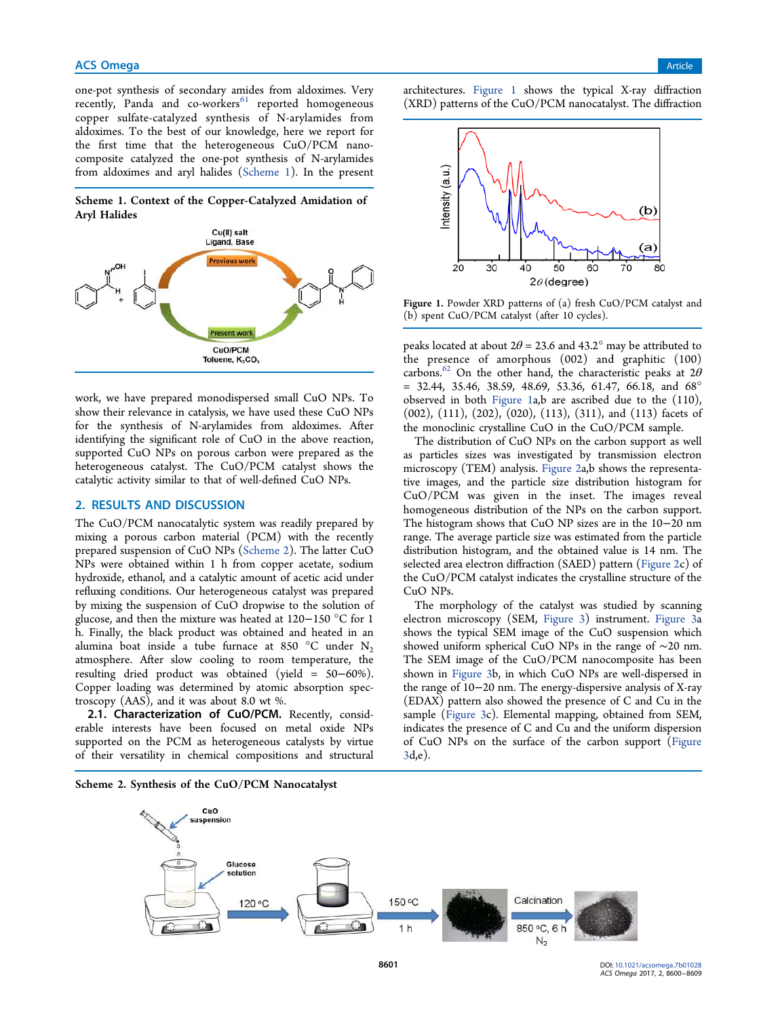one-pot synthesis of secondary amides from aldoximes. Very recently, Panda and co-workers<sup>61</sup> reported homogeneous copper sulfate-catalyzed synthesis of N-arylamides from aldoximes. To the best of our knowledge, here we report for the first time that the heterogeneous CuO/PCM nanocomposite catalyzed the one-pot synthesis of N-arylamides from aldoximes and aryl halides (Scheme 1). In the present

Scheme 1. Context of the Copper-Catalyzed Amidation of Aryl Halides



work, we have prepared monodispersed small CuO NPs. To show their relevance in catalysis, we have used these CuO NPs for the synthesis of N-arylamides from aldoximes. After identifying the significant role of CuO in the above reaction, supported CuO NPs on porous carbon were prepared as the heterogeneous catalyst. The CuO/PCM catalyst shows the catalytic activity similar to that of well-defined CuO NPs.

# 2. RESULTS AND DISCUSSION

The CuO/PCM nanocatalytic system was readily prepared by mixing a porous carbon material (PCM) with the recently prepared suspension of CuO NPs (Scheme 2). The latter CuO NPs were obtained within 1 h from copper acetate, sodium hydroxide, ethanol, and a catalytic amount of acetic acid under refluxing conditions. Our heterogeneous catalyst was prepared by mixing the suspension of CuO dropwise to the solution of glucose, and then the mixture was heated at 120−150 °C for 1 h. Finally, the black product was obtained and heated in an alumina boat inside a tube furnace at 850  $\degree$ C under N<sub>2</sub> atmosphere. After slow cooling to room temperature, the resulting dried product was obtained (yield = 50−60%). Copper loading was determined by atomic absorption spectroscopy (AAS), and it was about 8.0 wt %.

2.1. Characterization of CuO/PCM. Recently, considerable interests have been focused on metal oxide NPs supported on the PCM as heterogeneous catalysts by virtue of their versatility in chemical compositions and structural

Scheme 2. Synthesis of the CuO/PCM Nanocatalyst

architectures. Figure 1 shows the typical X-ray diffraction (XRD) patterns of the CuO/PCM nanocatalyst. The diffraction



Figure 1. Powder XRD patterns of (a) fresh CuO/PCM catalyst and (b) spent CuO/PCM catalyst (after 10 cycles).

peaks located at about  $2\theta = 23.6$  and  $43.2^{\circ}$  may be attributed to the presence of amorphous (002) and graphitic (100) carbons.<sup>62</sup> On the other hand, the characteristic peaks at  $2\theta$ = 32.44, 35.46, 38.59, 48.69, 53.36, 61.47, 66.18, and 68° observed in both Figure 1a,b are ascribed due to the (110), (002), (111), (202), (020), (113), (311), and (113) facets of the monoclinic crystalline CuO in the CuO/PCM sample.

The distribution of CuO NPs on the carbon support as well as particles sizes was investigated by transmission electron microscopy (TEM) analysis. Figure 2a,b shows the representative images, and the particle size distribution histogram for CuO/PCM was given in the inset. The images reveal homogeneous distribution of the NPs on the carbon support. The histogram shows that CuO NP sizes are in the 10−20 nm range. The average particle size was estimated from the particle distribution histogram, and the obtained value is 14 nm. The selected area electron diffraction (SAED) pattern (Figure 2c) of the CuO/PCM catalyst indicates the crystalline structure of the CuO NPs.

The morphology of the catalyst was studied by scanning electron microscopy (SEM, Figure 3) instrument. Figure 3a shows the typical SEM image of the CuO suspension which showed uniform spherical CuO NPs in the range of ∼20 nm. The SEM image of the CuO/PCM nanocomposite has been shown in Figure 3b, in which CuO NPs are well-dispersed in the range of 10−20 nm. The energy-dispersive analysis of X-ray (EDAX) pattern also showed the presence of C and Cu in the sample (Figure 3c). Elemental mapping, obtained from SEM, indicates the presence of C and Cu and the uniform dispersion of CuO NPs on the surface of the carbon support (Figure 3d,e).

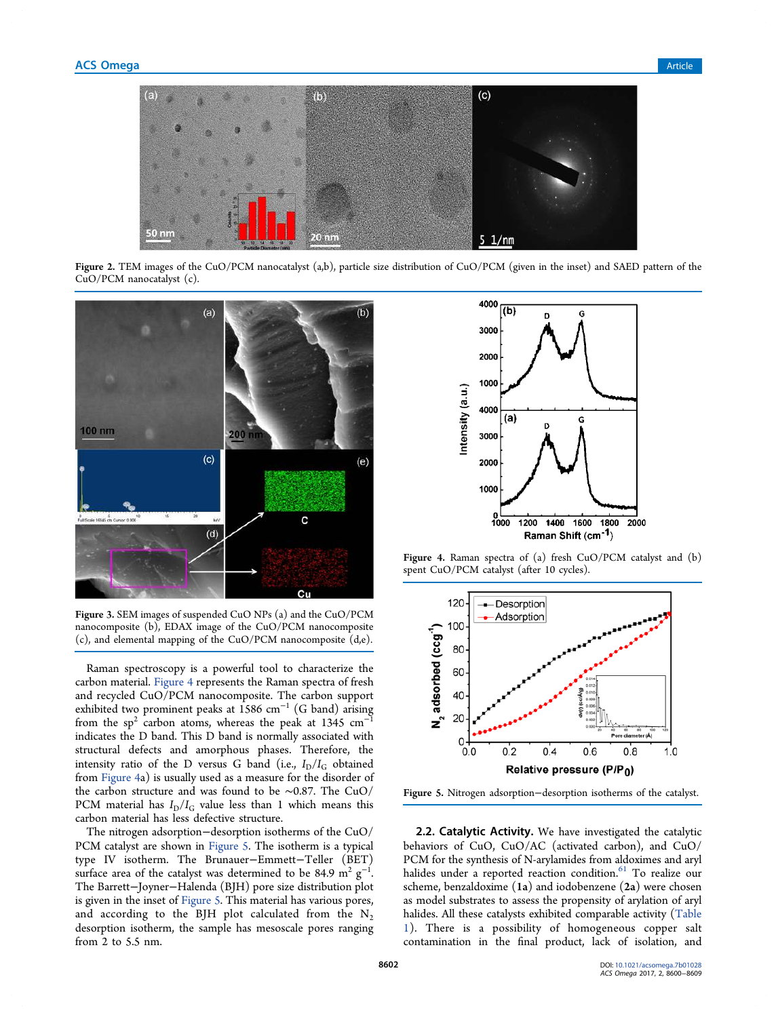

Figure 2. TEM images of the CuO/PCM nanocatalyst (a,b), particle size distribution of CuO/PCM (given in the inset) and SAED pattern of the CuO/PCM nanocatalyst (c).



Figure 3. SEM images of suspended CuO NPs (a) and the CuO/PCM nanocomposite (b), EDAX image of the CuO/PCM nanocomposite (c), and elemental mapping of the CuO/PCM nanocomposite (d,e).

Raman spectroscopy is a powerful tool to characterize the carbon material. Figure 4 represents the Raman spectra of fresh and recycled CuO/PCM nanocomposite. The carbon support exhibited two prominent peaks at 1586 cm<sup>−</sup><sup>1</sup> (G band) arising from the sp<sup>2</sup> carbon atoms, whereas the peak at 1345  $cm^{-1}$ indicates the D band. This D band is normally associated with structural defects and amorphous phases. Therefore, the intensity ratio of the D versus G band (i.e.,  $I_D/I_G$  obtained from Figure 4a) is usually used as a measure for the disorder of the carbon structure and was found to be ∼0.87. The CuO/ PCM material has  $I_D/I_G$  value less than 1 which means this carbon material has less defective structure.

The nitrogen adsorption−desorption isotherms of the CuO/ PCM catalyst are shown in Figure 5. The isotherm is a typical type IV isotherm. The Brunauer−Emmett−Teller (BET) surface area of the catalyst was determined to be 84.9  $m^2$   $g^{-1}$ . The Barrett−Joyner−Halenda (BJH) pore size distribution plot is given in the inset of Figure 5. This material has various pores, and according to the BJH plot calculated from the  $N_2$ desorption isotherm, the sample has mesoscale pores ranging from 2 to 5.5 nm.



Figure 4. Raman spectra of (a) fresh CuO/PCM catalyst and (b) spent CuO/PCM catalyst (after 10 cycles).



Figure 5. Nitrogen adsorption−desorption isotherms of the catalyst.

2.2. Catalytic Activity. We have investigated the catalytic behaviors of CuO, CuO/AC (activated carbon), and CuO/ PCM for the synthesis of N-arylamides from aldoximes and aryl halides under a reported reaction condition.<sup>61</sup> To realize our scheme, benzaldoxime (1a) and iodobenzene (2a) were chosen as model substrates to assess the propensity of arylation of aryl halides. All these catalysts exhibited comparable activity (Table 1). There is a possibility of homogeneous copper salt contamination in the final product, lack of isolation, and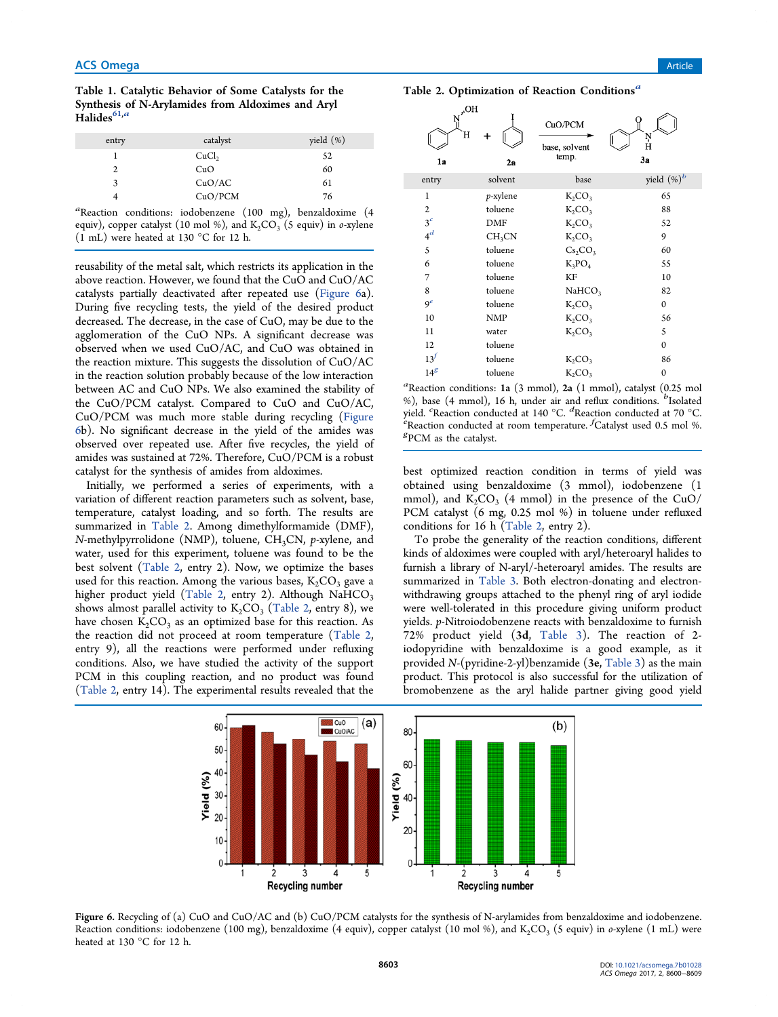Table 1. Catalytic Behavior of Some Catalysts for the Synthesis of N-Arylamides from Aldoximes and Aryl Halides $^{61,a}$ 

| entry | catalyst          | yield $(\%)$ |
|-------|-------------------|--------------|
|       | CuCl <sub>2</sub> | 52           |
| 2     | CuO               | 60           |
| 3     | CuO/AC            | 61           |
| 4     | CuO/PCM           | 76           |

*a* Reaction conditions: iodobenzene (100 mg), benzaldoxime (4 equiv), copper catalyst (10 mol %), and K<sub>2</sub>CO<sub>3</sub> (5 equiv) in *o*-xylene (1 mL) were heated at 130 °C for 12 h.

reusability of the metal salt, which restricts its application in the above reaction. However, we found that the CuO and CuO/AC catalysts partially deactivated after repeated use (Figure 6a). During five recycling tests, the yield of the desired product decreased. The decrease, in the case of CuO, may be due to the agglomeration of the CuO NPs. A significant decrease was observed when we used CuO/AC, and CuO was obtained in the reaction mixture. This suggests the dissolution of CuO/AC in the reaction solution probably because of the low interaction between AC and CuO NPs. We also examined the stability of the CuO/PCM catalyst. Compared to CuO and CuO/AC, CuO/PCM was much more stable during recycling (Figure 6b). No significant decrease in the yield of the amides was observed over repeated use. After five recycles, the yield of amides was sustained at 72%. Therefore, CuO/PCM is a robust catalyst for the synthesis of amides from aldoximes.

Initially, we performed a series of experiments, with a variation of different reaction parameters such as solvent, base, temperature, catalyst loading, and so forth. The results are summarized in Table 2. Among dimethylformamide (DMF), *N*-methylpyrrolidone (NMP), toluene, CH<sub>3</sub>CN, *p*-xylene, and water, used for this experiment, toluene was found to be the best solvent (Table 2, entry 2). Now, we optimize the bases used for this reaction. Among the various bases,  $K_2CO_3$  gave a higher product yield (Table 2, entry 2). Although  $NaHCO<sub>3</sub>$ shows almost parallel activity to  $K_2CO_3$  (Table 2, entry 8), we have chosen  $K_2CO_3$  as an optimized base for this reaction. As the reaction did not proceed at room temperature (Table 2, entry 9), all the reactions were performed under refluxing conditions. Also, we have studied the activity of the support PCM in this coupling reaction, and no product was found (Table 2, entry 14). The experimental results revealed that the



Table 2. Optimization of Reaction Conditions<sup>a</sup>

*a* Reaction conditions: 1a (3 mmol), 2a (1 mmol), catalyst (0.25 mol %), base (4 mmol), 16 h, under air and reflux conditions. <sup>*b*</sup>Isolated yield. *<sup>c</sup>* Reaction conducted at 140 °C. *<sup>d</sup>* Reaction conducted at 70 °C. *e* Reaction conducted at room temperature. *<sup>f</sup>* Catalyst used 0.5 mol %. *g* PCM as the catalyst.

best optimized reaction condition in terms of yield was obtained using benzaldoxime (3 mmol), iodobenzene (1 mmol), and  $K_2CO_3$  (4 mmol) in the presence of the CuO/ PCM catalyst (6 mg, 0.25 mol %) in toluene under refluxed conditions for 16 h (Table 2, entry 2).

To probe the generality of the reaction conditions, different kinds of aldoximes were coupled with aryl/heteroaryl halides to furnish a library of N-aryl/-heteroaryl amides. The results are summarized in Table 3. Both electron-donating and electronwithdrawing groups attached to the phenyl ring of aryl iodide were well-tolerated in this procedure giving uniform product yields. *p*-Nitroiodobenzene reacts with benzaldoxime to furnish 72% product yield (3d, Table 3). The reaction of 2 iodopyridine with benzaldoxime is a good example, as it provided *N*-(pyridine-2-yl)benzamide (3e, Table 3) as the main product. This protocol is also successful for the utilization of bromobenzene as the aryl halide partner giving good yield



Figure 6. Recycling of (a) CuO and CuO/AC and (b) CuO/PCM catalysts for the synthesis of N-arylamides from benzaldoxime and iodobenzene. Reaction conditions: iodobenzene (100 mg), benzaldoxime (4 equiv), copper catalyst (10 mol %), and K<sub>2</sub>CO<sub>3</sub> (5 equiv) in *o-*xylene (1 mL) were heated at 130 °C for 12 h.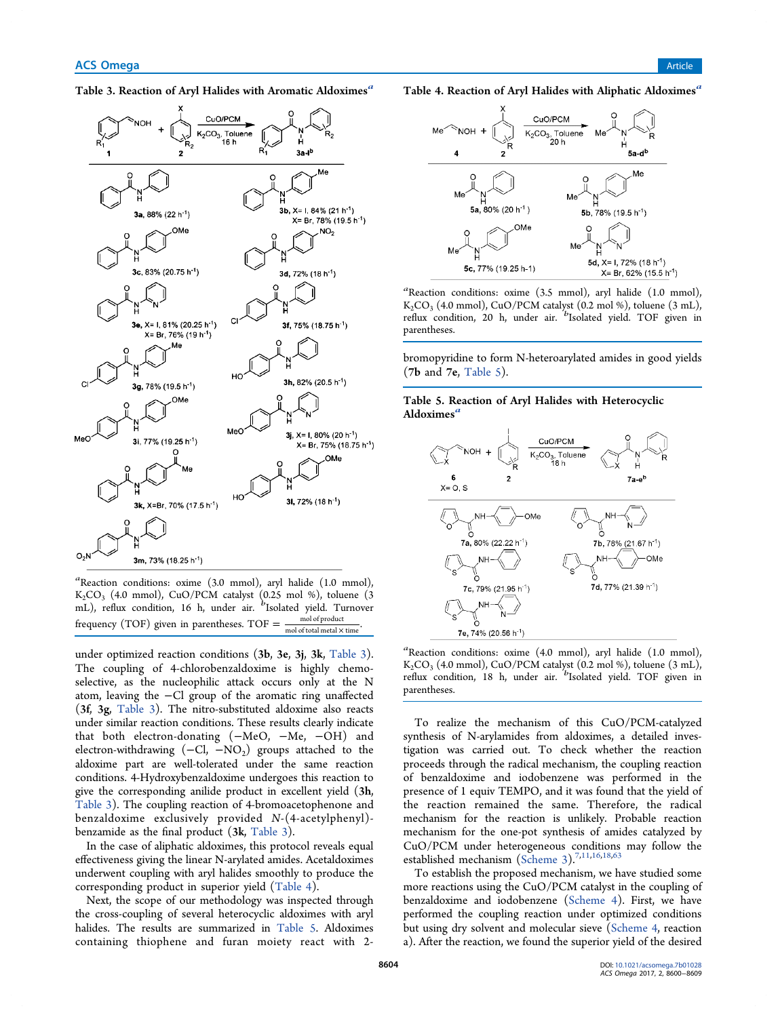Table 3. Reaction of Aryl Halides with Aromatic Aldoximes<sup>a</sup>



*a* Reaction conditions: oxime (3.0 mmol), aryl halide (1.0 mmol),  $\mathrm{K_{2}CO_{3}}$  (4.0 mmol), CuO/PCM catalyst (0.25 mol %), toluene (3 mL), reflux condition, 16 h, under air. <sup>*b*</sup>Isolated yield. Turnover frequency (TOF) given in parentheses. TOF  $=$   $\frac{\text{mol of product}}{\text{mol of total metal} \times \text{time}}$ .

under optimized reaction conditions (3b, 3e, 3j, 3k, Table 3). The coupling of 4-chlorobenzaldoxime is highly chemoselective, as the nucleophilic attack occurs only at the N atom, leaving the −Cl group of the aromatic ring unaffected (3f, 3g, Table 3). The nitro-substituted aldoxime also reacts under similar reaction conditions. These results clearly indicate that both electron-donating (−MeO, −Me, −OH) and electron-withdrawing  $(-\text{Cl}, -\text{NO}_2)$  groups attached to the aldoxime part are well-tolerated under the same reaction conditions. 4-Hydroxybenzaldoxime undergoes this reaction to give the corresponding anilide product in excellent yield (3h, Table 3). The coupling reaction of 4-bromoacetophenone and benzaldoxime exclusively provided *N*-(4-acetylphenyl) benzamide as the final product (3k, Table 3).

In the case of aliphatic aldoximes, this protocol reveals equal effectiveness giving the linear N-arylated amides. Acetaldoximes underwent coupling with aryl halides smoothly to produce the corresponding product in superior yield (Table 4).

Next, the scope of our methodology was inspected through the cross-coupling of several heterocyclic aldoximes with aryl halides. The results are summarized in Table 5. Aldoximes containing thiophene and furan moiety react with 2Table 4. Reaction of Aryl Halides with Aliphatic Aldoximes<sup>a</sup>



*a* Reaction conditions: oxime (3.5 mmol), aryl halide (1.0 mmol),  $\mathrm{K_2CO}_3$  (4.0 mmol), CuO/PCM catalyst (0.2 mol %), toluene (3 mL), reflux condition, 20 h, under air. <sup>*b*</sup>Isolated yield. TOF given in parentheses.

bromopyridine to form N-heteroarylated amides in good yields (7b and 7e, Table 5).

Table 5. Reaction of Aryl Halides with Heterocyclic Aldoximes'



*a* Reaction conditions: oxime (4.0 mmol), aryl halide (1.0 mmol),  $\mathrm{K_{2}CO_{3}}$  (4.0 mmol), CuO/PCM catalyst (0.2 mol %), toluene (3 mL), reflux condition, 18 h, under air. <sup>*b*</sup> Isolated yield. TOF given in parentheses.

To realize the mechanism of this CuO/PCM-catalyzed synthesis of N-arylamides from aldoximes, a detailed investigation was carried out. To check whether the reaction proceeds through the radical mechanism, the coupling reaction of benzaldoxime and iodobenzene was performed in the presence of 1 equiv TEMPO, and it was found that the yield of the reaction remained the same. Therefore, the radical mechanism for the reaction is unlikely. Probable reaction mechanism for the one-pot synthesis of amides catalyzed by CuO/PCM under heterogeneous conditions may follow the established mechanism (Scheme 3).<sup>7,11,16,18,63</sup>

To establish the proposed mechanism, we have studied some more reactions using the CuO/PCM catalyst in the coupling of benzaldoxime and iodobenzene (Scheme 4). First, we have performed the coupling reaction under optimized conditions but using dry solvent and molecular sieve (Scheme 4, reaction a). After the reaction, we found the superior yield of the desired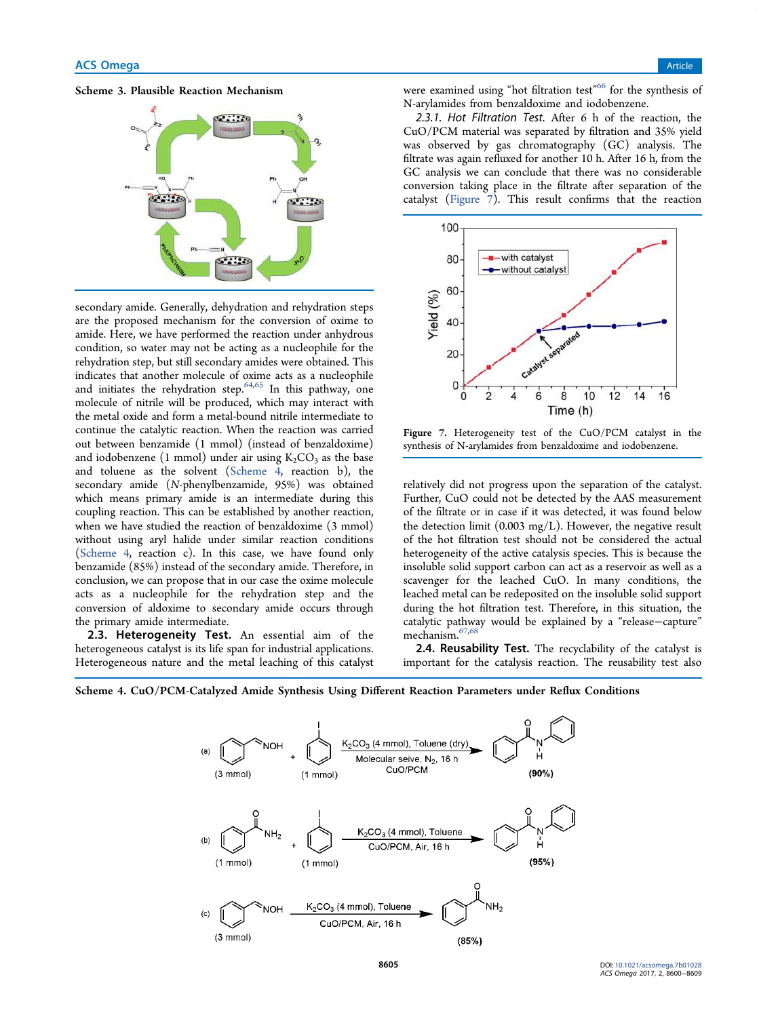



secondary amide. Generally, dehydration and rehydration steps are the proposed mechanism for the conversion of oxime to amide. Here, we have performed the reaction under anhydrous condition, so water may not be acting as a nucleophile for the rehydration step, but still secondary amides were obtained. This indicates that another molecule of oxime acts as a nucleophile and initiates the rehydration step.<sup>64,65</sup> In this pathway, one molecule of nitrile will be produced, which may interact with the metal oxide and form a metal-bound nitrile intermediate to continue the catalytic reaction. When the reaction was carried out between benzamide (1 mmol) (instead of benzaldoxime) and iodobenzene  $(1 \text{ mmol})$  under air using  $\text{K}_2\text{CO}_3$  as the base and toluene as the solvent (Scheme 4, reaction b), the secondary amide (*N*-phenylbenzamide, 95%) was obtained which means primary amide is an intermediate during this coupling reaction. This can be established by another reaction, when we have studied the reaction of benzaldoxime (3 mmol) without using aryl halide under similar reaction conditions (Scheme 4, reaction c). In this case, we have found only benzamide (85%) instead of the secondary amide. Therefore, in conclusion, we can propose that in our case the oxime molecule acts as a nucleophile for the rehydration step and the conversion of aldoxime to secondary amide occurs through the primary amide intermediate.

2.3. Heterogeneity Test. An essential aim of the heterogeneous catalyst is its life span for industrial applications. Heterogeneous nature and the metal leaching of this catalyst

were examined using "hot filtration test"<sup>66</sup> for the synthesis of N-arylamides from benzaldoxime and iodobenzene.

2.3.1. Hot Filtration Test. After 6 h of the reaction, the CuO/PCM material was separated by filtration and 35% yield was observed by gas chromatography (GC) analysis. The filtrate was again refluxed for another 10 h. After 16 h, from the GC analysis we can conclude that there was no considerable conversion taking place in the filtrate after separation of the catalyst (Figure 7). This result confirms that the reaction



Figure 7. Heterogeneity test of the CuO/PCM catalyst in the synthesis of N-arylamides from benzaldoxime and iodobenzene.

relatively did not progress upon the separation of the catalyst. Further, CuO could not be detected by the AAS measurement of the filtrate or in case if it was detected, it was found below the detection limit (0.003 mg/L). However, the negative result of the hot filtration test should not be considered the actual heterogeneity of the active catalysis species. This is because the insoluble solid support carbon can act as a reservoir as well as a scavenger for the leached CuO. In many conditions, the leached metal can be redeposited on the insoluble solid support during the hot filtration test. Therefore, in this situation, the catalytic pathway would be explained by a "release−capture" mechanism.67,68

2.4. Reusability Test. The recyclability of the catalyst is important for the catalysis reaction. The reusability test also



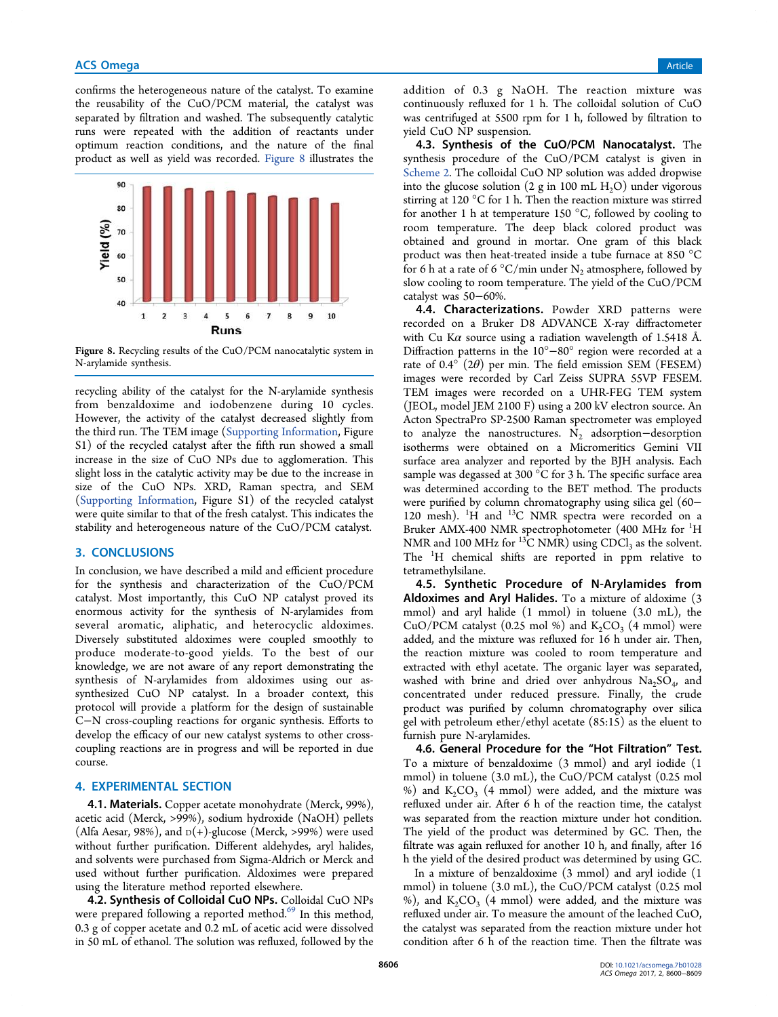confirms the heterogeneous nature of the catalyst. To examine the reusability of the CuO/PCM material, the catalyst was separated by filtration and washed. The subsequently catalytic runs were repeated with the addition of reactants under optimum reaction conditions, and the nature of the final product as well as yield was recorded. Figure 8 illustrates the



Figure 8. Recycling results of the CuO/PCM nanocatalytic system in N-arylamide synthesis.

recycling ability of the catalyst for the N-arylamide synthesis from benzaldoxime and iodobenzene during 10 cycles. However, the activity of the catalyst decreased slightly from the third run. The TEM image (Supporting Information, Figure S1) of the recycled catalyst after the fifth run showed a small increase in the size of CuO NPs due to agglomeration. This slight loss in the catalytic activity may be due to the increase in size of the CuO NPs. XRD, Raman spectra, and SEM (Supporting Information, Figure S1) of the recycled catalyst were quite similar to that of the fresh catalyst. This indicates the stability and heterogeneous nature of the CuO/PCM catalyst.

# 3. CONCLUSIONS

In conclusion, we have described a mild and efficient procedure for the synthesis and characterization of the CuO/PCM catalyst. Most importantly, this CuO NP catalyst proved its enormous activity for the synthesis of N-arylamides from several aromatic, aliphatic, and heterocyclic aldoximes. Diversely substituted aldoximes were coupled smoothly to produce moderate-to-good yields. To the best of our knowledge, we are not aware of any report demonstrating the synthesis of N-arylamides from aldoximes using our assynthesized CuO NP catalyst. In a broader context, this protocol will provide a platform for the design of sustainable C−N cross-coupling reactions for organic synthesis. Efforts to develop the efficacy of our new catalyst systems to other crosscoupling reactions are in progress and will be reported in due course.

# 4. EXPERIMENTAL SECTION

4.1. Materials. Copper acetate monohydrate (Merck, 99%), acetic acid (Merck, >99%), sodium hydroxide (NaOH) pellets (Alfa Aesar, 98%), and  $D(+)$ -glucose (Merck, >99%) were used without further purification. Different aldehydes, aryl halides, and solvents were purchased from Sigma-Aldrich or Merck and used without further purification. Aldoximes were prepared using the literature method reported elsewhere.

4.2. Synthesis of Colloidal CuO NPs. Colloidal CuO NPs were prepared following a reported method.<sup>69</sup> In this method, 0.3 g of copper acetate and 0.2 mL of acetic acid were dissolved in 50 mL of ethanol. The solution was refluxed, followed by the addition of 0.3 g NaOH. The reaction mixture was continuously refluxed for 1 h. The colloidal solution of CuO was centrifuged at 5500 rpm for 1 h, followed by filtration to yield CuO NP suspension.

4.3. Synthesis of the CuO/PCM Nanocatalyst. The synthesis procedure of the CuO/PCM catalyst is given in Scheme 2. The colloidal CuO NP solution was added dropwise into the glucose solution (2 g in 100 mL  $H_2O$ ) under vigorous stirring at 120 °C for 1 h. Then the reaction mixture was stirred for another 1 h at temperature 150 °C, followed by cooling to room temperature. The deep black colored product was obtained and ground in mortar. One gram of this black product was then heat-treated inside a tube furnace at 850 °C for 6 h at a rate of 6  $\mathrm{^{\circ}C/m}$ in under  $\mathrm{N}_2$  atmosphere, followed by slow cooling to room temperature. The yield of the CuO/PCM catalyst was 50−60%.

4.4. Characterizations. Powder XRD patterns were recorded on a Bruker D8 ADVANCE X-ray diffractometer with Cu K $\alpha$  source using a radiation wavelength of 1.5418 Å. Diffraction patterns in the 10°−80° region were recorded at a rate of 0.4 $\degree$  (2 $\theta$ ) per min. The field emission SEM (FESEM) images were recorded by Carl Zeiss SUPRA 55VP FESEM. TEM images were recorded on a UHR-FEG TEM system (JEOL, model JEM 2100 F) using a 200 kV electron source. An Acton SpectraPro SP-2500 Raman spectrometer was employed to analyze the nanostructures.  $N_2$  adsorption–desorption isotherms were obtained on a Micromeritics Gemini VII surface area analyzer and reported by the BJH analysis. Each sample was degassed at 300 °C for 3 h. The specific surface area was determined according to the BET method. The products were purified by column chromatography using silica gel (60− 120 mesh).  ${}^{1}$ H and  ${}^{13}$ C NMR spectra were recorded on a Bruker AMX-400 NMR spectrophotometer (400 MHz for <sup>1</sup>H NMR and 100 MHz for  $^{13}C$  NMR) using CDCl<sub>3</sub> as the solvent. The <sup>1</sup>H chemical shifts are reported in ppm relative to tetramethylsilane.

4.5. Synthetic Procedure of N-Arylamides from Aldoximes and Aryl Halides. To a mixture of aldoxime (3 mmol) and aryl halide (1 mmol) in toluene (3.0 mL), the CuO/PCM catalyst (0.25 mol %) and  $K_2CO_3$  (4 mmol) were added, and the mixture was refluxed for 16 h under air. Then, the reaction mixture was cooled to room temperature and extracted with ethyl acetate. The organic layer was separated, washed with brine and dried over anhydrous  $\text{Na}_2\text{SO}_4$ , and concentrated under reduced pressure. Finally, the crude product was purified by column chromatography over silica gel with petroleum ether/ethyl acetate (85:15) as the eluent to furnish pure N-arylamides.

4.6. General Procedure for the "Hot Filtration" Test. To a mixture of benzaldoxime (3 mmol) and aryl iodide (1 mmol) in toluene (3.0 mL), the CuO/PCM catalyst (0.25 mol %) and  $K_2CO_3$  (4 mmol) were added, and the mixture was refluxed under air. After 6 h of the reaction time, the catalyst was separated from the reaction mixture under hot condition. The yield of the product was determined by GC. Then, the filtrate was again refluxed for another 10 h, and finally, after 16 h the yield of the desired product was determined by using GC.

In a mixture of benzaldoxime (3 mmol) and aryl iodide (1 mmol) in toluene (3.0 mL), the CuO/PCM catalyst (0.25 mol %), and  $K_2CO_3$  (4 mmol) were added, and the mixture was refluxed under air. To measure the amount of the leached CuO, the catalyst was separated from the reaction mixture under hot condition after 6 h of the reaction time. Then the filtrate was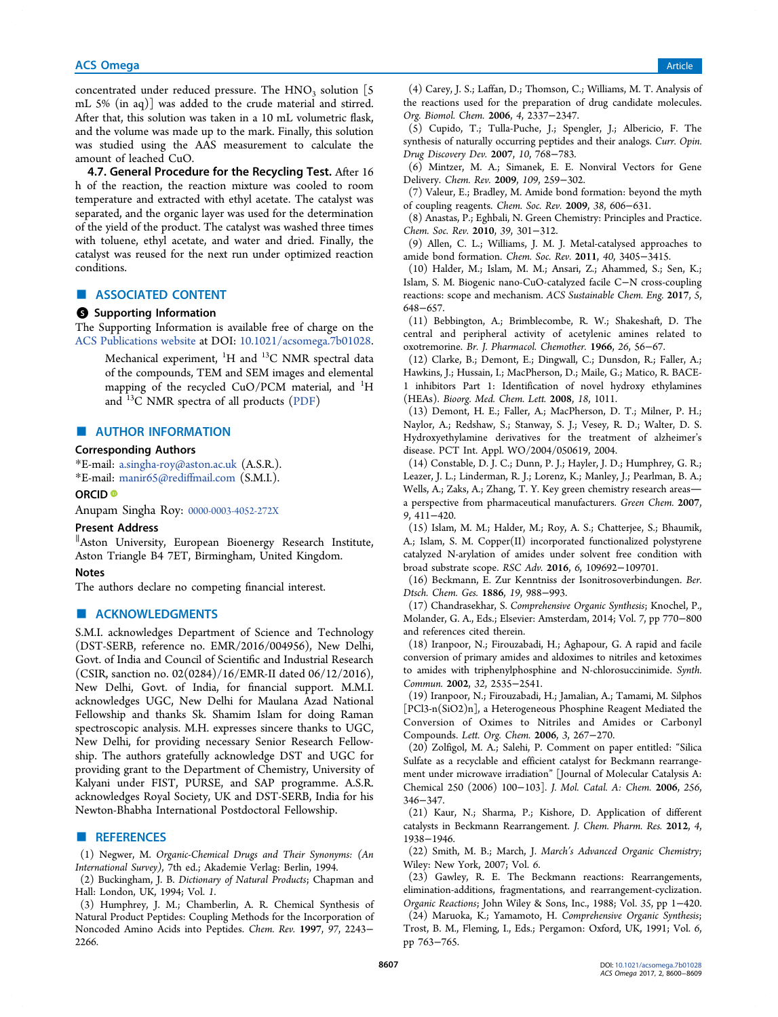## **ACS Omega** Article **Article** Article **Article Article Article Article Article** Article **Article** Article **Article**

concentrated under reduced pressure. The  $HNO<sub>3</sub>$  solution [5] mL 5% (in aq)] was added to the crude material and stirred. After that, this solution was taken in a 10 mL volumetric flask, and the volume was made up to the mark. Finally, this solution was studied using the AAS measurement to calculate the amount of leached CuO.

4.7. General Procedure for the Recycling Test. After 16 h of the reaction, the reaction mixture was cooled to room temperature and extracted with ethyl acetate. The catalyst was separated, and the organic layer was used for the determination of the yield of the product. The catalyst was washed three times with toluene, ethyl acetate, and water and dried. Finally, the catalyst was reused for the next run under optimized reaction conditions.

## ■ ASSOCIATED CONTENT

#### **6** Supporting Information

The Supporting Information is available free of charge on the ACS Publications website at DOI: 10.1021/acsomega.7b01028.

Mechanical experiment,  ${}^{1}H$  and  ${}^{13}C$  NMR spectral data of the compounds, TEM and SEM images and elemental mapping of the recycled CuO/PCM material, and <sup>1</sup>H and <sup>13</sup>C NMR spectra of all products (PDF)

## ■ AUTHOR INFORMATION

#### Corresponding Authors

\*E-mail: a.singha-roy@aston.ac.uk (A.S.R.). \*E-mail: manir65@rediffmail.com (S.M.I.).

#### ORCID<sup>®</sup>

Anupam Singha Roy: 0000-0003-4052-272X

#### Present Address

∥ Aston University, European Bioenergy Research Institute, Aston Triangle B4 7ET, Birmingham, United Kingdom.

### **Notes**

The authors declare no competing financial interest.

## ■ ACKNOWLEDGMENTS

S.M.I. acknowledges Department of Science and Technology (DST-SERB, reference no. EMR/2016/004956), New Delhi, Govt. of India and Council of Scientific and Industrial Research (CSIR, sanction no. 02(0284)/16/EMR-II dated 06/12/2016), New Delhi, Govt. of India, for financial support. M.M.I. acknowledges UGC, New Delhi for Maulana Azad National Fellowship and thanks Sk. Shamim Islam for doing Raman spectroscopic analysis. M.H. expresses sincere thanks to UGC, New Delhi, for providing necessary Senior Research Fellowship. The authors gratefully acknowledge DST and UGC for providing grant to the Department of Chemistry, University of Kalyani under FIST, PURSE, and SAP programme. A.S.R. acknowledges Royal Society, UK and DST-SERB, India for his Newton-Bhabha International Postdoctoral Fellowship.

# ■ REFERENCES

(1) Negwer, M. *Organic-Chemical Drugs and Their Synonyms: (An International Survey)*, 7th ed.; Akademie Verlag: Berlin, 1994.

(2) Buckingham, J. B. *Dictionary of Natural Products*; Chapman and Hall: London, UK, 1994; Vol. *1*.

(3) Humphrey, J. M.; Chamberlin, A. R. Chemical Synthesis of Natural Product Peptides: Coupling Methods for the Incorporation of Noncoded Amino Acids into Peptides. *Chem. Rev.* 1997, *97*, 2243− 2266.

(4) Carey, J. S.; Laffan, D.; Thomson, C.; Williams, M. T. Analysis of the reactions used for the preparation of drug candidate molecules. *Org. Biomol. Chem.* 2006, *4*, 2337−2347.

(5) Cupido, T.; Tulla-Puche, J.; Spengler, J.; Albericio, F. The synthesis of naturally occurring peptides and their analogs. *Curr. Opin. Drug Discovery Dev.* 2007, *10*, 768−783.

(6) Mintzer, M. A.; Simanek, E. E. Nonviral Vectors for Gene Delivery. *Chem. Rev.* 2009, *109*, 259−302.

(7) Valeur, E.; Bradley, M. Amide bond formation: beyond the myth of coupling reagents. *Chem. Soc. Rev.* 2009, *38*, 606−631.

(8) Anastas, P.; Eghbali, N. Green Chemistry: Principles and Practice. *Chem. Soc. Rev.* 2010, *39*, 301−312.

(9) Allen, C. L.; Williams, J. M. J. Metal-catalysed approaches to amide bond formation. *Chem. Soc. Rev.* 2011, *40*, 3405−3415.

(10) Halder, M.; Islam, M. M.; Ansari, Z.; Ahammed, S.; Sen, K.; Islam, S. M. Biogenic nano-CuO-catalyzed facile C−N cross-coupling reactions: scope and mechanism. *ACS Sustainable Chem. Eng.* 2017, *5*, 648−657.

(11) Bebbington, A.; Brimblecombe, R. W.; Shakeshaft, D. The central and peripheral activity of acetylenic amines related to oxotremorine. *Br. J. Pharmacol. Chemother.* 1966, *26*, 56−67.

(12) Clarke, B.; Demont, E.; Dingwall, C.; Dunsdon, R.; Faller, A.; Hawkins, J.; Hussain, I.; MacPherson, D.; Maile, G.; Matico, R. BACE-1 inhibitors Part 1: Identification of novel hydroxy ethylamines (HEAs). *Bioorg. Med. Chem. Lett.* 2008, *18*, 1011.

(13) Demont, H. E.; Faller, A.; MacPherson, D. T.; Milner, P. H.; Naylor, A.; Redshaw, S.; Stanway, S. J.; Vesey, R. D.; Walter, D. S. Hydroxyethylamine derivatives for the treatment of alzheimer's disease. PCT Int. Appl. WO/2004/050619, 2004.

(14) Constable, D. J. C.; Dunn, P. J.; Hayler, J. D.; Humphrey, G. R.; Leazer, J. L.; Linderman, R. J.; Lorenz, K.; Manley, J.; Pearlman, B. A.; Wells, A.; Zaks, A.; Zhang, T. Y. Key green chemistry research areas a perspective from pharmaceutical manufacturers. *Green Chem.* 2007, *9*, 411−420.

(15) Islam, M. M.; Halder, M.; Roy, A. S.; Chatterjee, S.; Bhaumik, A.; Islam, S. M. Copper(II) incorporated functionalized polystyrene catalyzed N-arylation of amides under solvent free condition with broad substrate scope. *RSC Adv.* 2016, *6*, 109692−109701.

(16) Beckmann, E. Zur Kenntniss der Isonitrosoverbindungen. *Ber. Dtsch. Chem. Ges.* 1886, *19*, 988−993.

(17) Chandrasekhar, S. *Comprehensive Organic Synthesis*; Knochel, P., Molander, G. A., Eds.; Elsevier: Amsterdam, 2014; Vol. *7*, pp 770−800 and references cited therein.

(18) Iranpoor, N.; Firouzabadi, H.; Aghapour, G. A rapid and facile conversion of primary amides and aldoximes to nitriles and ketoximes to amides with triphenylphosphine and N-chlorosuccinimide. *Synth. Commun.* 2002, *32*, 2535−2541.

(19) Iranpoor, N.; Firouzabadi, H.; Jamalian, A.; Tamami, M. Silphos [PCl3-n(SiO2)n], a Heterogeneous Phosphine Reagent Mediated the Conversion of Oximes to Nitriles and Amides or Carbonyl Compounds. *Lett. Org. Chem.* 2006, *3*, 267−270.

(20) Zolfigol, M. A.; Salehi, P. Comment on paper entitled: "Silica Sulfate as a recyclable and efficient catalyst for Beckmann rearrangement under microwave irradiation" [Journal of Molecular Catalysis A: Chemical 250 (2006) 100−103]. *J. Mol. Catal. A: Chem.* 2006, *256*, 346−347.

(21) Kaur, N.; Sharma, P.; Kishore, D. Application of different catalysts in Beckmann Rearrangement. *J. Chem. Pharm. Res.* 2012, *4*, 1938−1946.

(22) Smith, M. B.; March, J. *March*'*s Advanced Organic Chemistry*; Wiley: New York, 2007; Vol. *6*.

(23) Gawley, R. E. The Beckmann reactions: Rearrangements, elimination-additions, fragmentations, and rearrangement-cyclization. *Organic Reactions*; John Wiley & Sons, Inc., 1988; Vol. *35*, pp 1−420. (24) Maruoka, K.; Yamamoto, H. *Comprehensive Organic Synthesis*; Trost, B. M., Fleming, I., Eds.; Pergamon: Oxford, UK, 1991; Vol. *6*, pp 763−765.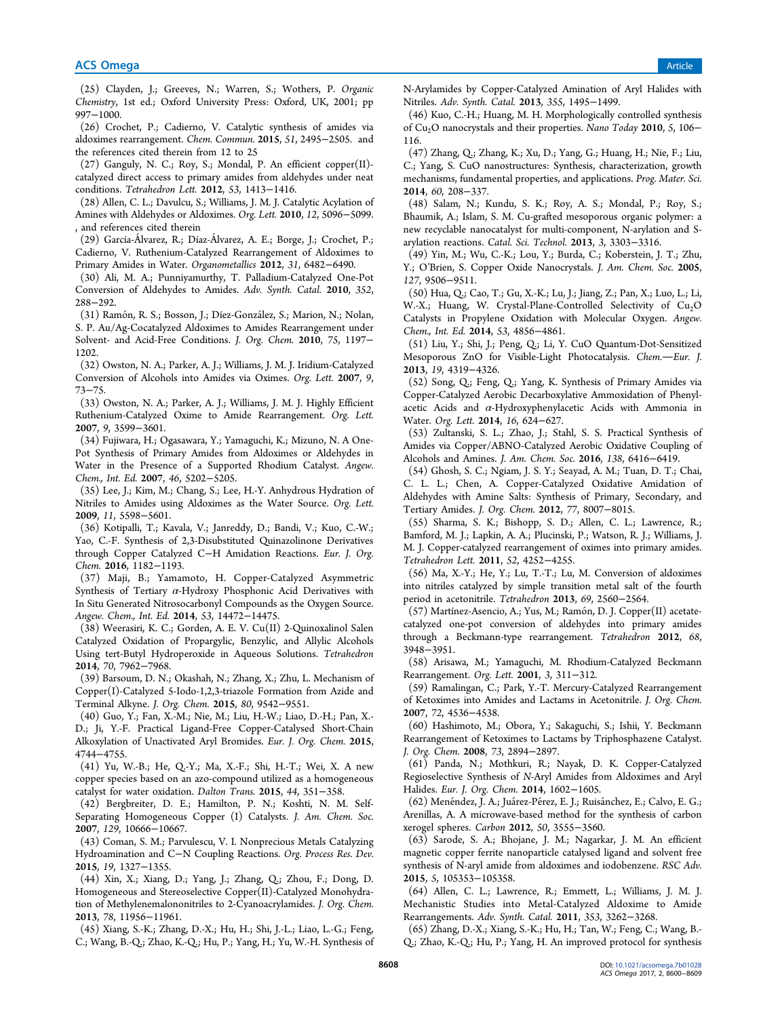(25) Clayden, J.; Greeves, N.; Warren, S.; Wothers, P. *Organic Chemistry*, 1st ed.; Oxford University Press: Oxford, UK, 2001; pp 997−1000.

(26) Crochet, P.; Cadierno, V. Catalytic synthesis of amides via aldoximes rearrangement. *Chem. Commun.* 2015, *51*, 2495−2505. and the references cited therein from 12 to 25

(27) Ganguly, N. C.; Roy, S.; Mondal, P. An efficient copper(II) catalyzed direct access to primary amides from aldehydes under neat conditions. *Tetrahedron Lett.* 2012, *53*, 1413−1416.

(28) Allen, C. L.; Davulcu, S.; Williams, J. M. J. Catalytic Acylation of Amines with Aldehydes or Aldoximes. *Org. Lett.* 2010, *12*, 5096−5099. , and references cited therein

(29) García-Á lvarez, R.; Díaz-Á lvarez, A. E.; Borge, J.; Crochet, P.; Cadierno, V. Ruthenium-Catalyzed Rearrangement of Aldoximes to Primary Amides in Water. *Organometallics* 2012, *31*, 6482−6490.

(30) Ali, M. A.; Punniyamurthy, T. Palladium-Catalyzed One-Pot Conversion of Aldehydes to Amides. *Adv. Synth. Catal.* 2010, *352*, 288−292.

(31) Ramón, R. S.; Bosson, J.; Díez-González, S.; Marion, N.; Nolan, S. P. Au/Ag-Cocatalyzed Aldoximes to Amides Rearrangement under Solvent- and Acid-Free Conditions. *J. Org. Chem.* 2010, *75*, 1197− 1202.

(32) Owston, N. A.; Parker, A. J.; Williams, J. M. J. Iridium-Catalyzed Conversion of Alcohols into Amides via Oximes. *Org. Lett.* 2007, *9*, 73−75.

(33) Owston, N. A.; Parker, A. J.; Williams, J. M. J. Highly Efficient Ruthenium-Catalyzed Oxime to Amide Rearrangement. *Org. Lett.* 2007, *9*, 3599−3601.

(34) Fujiwara, H.; Ogasawara, Y.; Yamaguchi, K.; Mizuno, N. A One-Pot Synthesis of Primary Amides from Aldoximes or Aldehydes in Water in the Presence of a Supported Rhodium Catalyst. *Angew. Chem., Int. Ed.* 2007, *46*, 5202−5205.

(35) Lee, J.; Kim, M.; Chang, S.; Lee, H.-Y. Anhydrous Hydration of Nitriles to Amides using Aldoximes as the Water Source. *Org. Lett.* 2009, *11*, 5598−5601.

(36) Kotipalli, T.; Kavala, V.; Janreddy, D.; Bandi, V.; Kuo, C.-W.; Yao, C.-F. Synthesis of 2,3-Disubstituted Quinazolinone Derivatives through Copper Catalyzed C−H Amidation Reactions. *Eur. J. Org. Chem.* 2016, 1182−1193.

(37) Maji, B.; Yamamoto, H. Copper-Catalyzed Asymmetric Synthesis of Tertiary  $\alpha$ -Hydroxy Phosphonic Acid Derivatives with In Situ Generated Nitrosocarbonyl Compounds as the Oxygen Source. *Angew. Chem., Int. Ed.* 2014, *53*, 14472−14475.

(38) Weerasiri, K. C.; Gorden, A. E. V. Cu(II) 2-Quinoxalinol Salen Catalyzed Oxidation of Propargylic, Benzylic, and Allylic Alcohols Using tert-Butyl Hydroperoxide in Aqueous Solutions. *Tetrahedron* 2014, *70*, 7962−7968.

(39) Barsoum, D. N.; Okashah, N.; Zhang, X.; Zhu, L. Mechanism of Copper(I)-Catalyzed 5-Iodo-1,2,3-triazole Formation from Azide and Terminal Alkyne. *J. Org. Chem.* 2015, *80*, 9542−9551.

(40) Guo, Y.; Fan, X.-M.; Nie, M.; Liu, H.-W.; Liao, D.-H.; Pan, X.- D.; Ji, Y.-F. Practical Ligand-Free Copper-Catalysed Short-Chain Alkoxylation of Unactivated Aryl Bromides. *Eur. J. Org. Chem.* 2015, 4744−4755.

(41) Yu, W.-B.; He, Q.-Y.; Ma, X.-F.; Shi, H.-T.; Wei, X. A new copper species based on an azo-compound utilized as a homogeneous catalyst for water oxidation. *Dalton Trans.* 2015, *44*, 351−358.

(42) Bergbreiter, D. E.; Hamilton, P. N.; Koshti, N. M. Self-Separating Homogeneous Copper (I) Catalysts. *J. Am. Chem. Soc.* 2007, *129*, 10666−10667.

(43) Coman, S. M.; Parvulescu, V. I. Nonprecious Metals Catalyzing Hydroamination and C−N Coupling Reactions. *Org. Process Res. Dev.* 2015, *19*, 1327−1355.

(44) Xin, X.; Xiang, D.; Yang, J.; Zhang, Q.; Zhou, F.; Dong, D. Homogeneous and Stereoselective Copper(II)-Catalyzed Monohydration of Methylenemalononitriles to 2-Cyanoacrylamides. *J. Org. Chem.* 2013, *78*, 11956−11961.

(45) Xiang, S.-K.; Zhang, D.-X.; Hu, H.; Shi, J.-L.; Liao, L.-G.; Feng, C.; Wang, B.-Q.; Zhao, K.-Q.; Hu, P.; Yang, H.; Yu, W.-H. Synthesis of N-Arylamides by Copper-Catalyzed Amination of Aryl Halides with Nitriles. *Adv. Synth. Catal.* 2013, *355*, 1495−1499.

(46) Kuo, C.-H.; Huang, M. H. Morphologically controlled synthesis of Cu2O nanocrystals and their properties. *Nano Today* 2010, *5*, 106− 116.

(47) Zhang, Q.; Zhang, K.; Xu, D.; Yang, G.; Huang, H.; Nie, F.; Liu, C.; Yang, S. CuO nanostructures: Synthesis, characterization, growth mechanisms, fundamental properties, and applications. *Prog. Mater. Sci.* 2014, *60*, 208−337.

(48) Salam, N.; Kundu, S. K.; Roy, A. S.; Mondal, P.; Roy, S.; Bhaumik, A.; Islam, S. M. Cu-grafted mesoporous organic polymer: a new recyclable nanocatalyst for multi-component, N-arylation and Sarylation reactions. *Catal. Sci. Technol.* 2013, *3*, 3303−3316.

(49) Yin, M.; Wu, C.-K.; Lou, Y.; Burda, C.; Koberstein, J. T.; Zhu, Y.; O'Brien, S. Copper Oxide Nanocrystals. *J. Am. Chem. Soc.* 2005, *127*, 9506−9511.

(50) Hua, Q.; Cao, T.; Gu, X.-K.; Lu, J.; Jiang, Z.; Pan, X.; Luo, L.; Li, W.-X.; Huang, W. Crystal-Plane-Controlled Selectivity of  $Cu<sub>2</sub>O$ Catalysts in Propylene Oxidation with Molecular Oxygen. *Angew. Chem., Int. Ed.* 2014, *53*, 4856−4861.

(51) Liu, Y.; Shi, J.; Peng, Q.; Li, Y. CuO Quantum-Dot-Sensitized Mesoporous ZnO for Visible-Light Photocatalysis. *Chem.Eur. J.* 2013, *19*, 4319−4326.

(52) Song, Q.; Feng, Q.; Yang, K. Synthesis of Primary Amides via Copper-Catalyzed Aerobic Decarboxylative Ammoxidation of Phenylacetic Acids and  $\alpha$ -Hydroxyphenylacetic Acids with Ammonia in Water. *Org. Lett.* 2014, *16*, 624−627.

(53) Zultanski, S. L.; Zhao, J.; Stahl, S. S. Practical Synthesis of Amides via Copper/ABNO-Catalyzed Aerobic Oxidative Coupling of Alcohols and Amines. *J. Am. Chem. Soc.* 2016, *138*, 6416−6419.

(54) Ghosh, S. C.; Ngiam, J. S. Y.; Seayad, A. M.; Tuan, D. T.; Chai, C. L. L.; Chen, A. Copper-Catalyzed Oxidative Amidation of Aldehydes with Amine Salts: Synthesis of Primary, Secondary, and Tertiary Amides. *J. Org. Chem.* 2012, *77*, 8007−8015.

(55) Sharma, S. K.; Bishopp, S. D.; Allen, C. L.; Lawrence, R.; Bamford, M. J.; Lapkin, A. A.; Plucinski, P.; Watson, R. J.; Williams, J. M. J. Copper-catalyzed rearrangement of oximes into primary amides. *Tetrahedron Lett.* 2011, *52*, 4252−4255.

(56) Ma, X.-Y.; He, Y.; Lu, T.-T.; Lu, M. Conversion of aldoximes into nitriles catalyzed by simple transition metal salt of the fourth period in acetonitrile. *Tetrahedron* 2013, *69*, 2560−2564.

(57) Martínez-Asencio, A.; Yus, M.; Ramón, D. J. Copper(II) acetatecatalyzed one-pot conversion of aldehydes into primary amides through a Beckmann-type rearrangement. *Tetrahedron* 2012, *68*, 3948−3951.

(58) Arisawa, M.; Yamaguchi, M. Rhodium-Catalyzed Beckmann Rearrangement. *Org. Lett.* 2001, *3*, 311−312.

(59) Ramalingan, C.; Park, Y.-T. Mercury-Catalyzed Rearrangement of Ketoximes into Amides and Lactams in Acetonitrile. *J. Org. Chem.* 2007, *72*, 4536−4538.

(60) Hashimoto, M.; Obora, Y.; Sakaguchi, S.; Ishii, Y. Beckmann Rearrangement of Ketoximes to Lactams by Triphosphazene Catalyst. *J. Org. Chem.* 2008, *73*, 2894−2897.

(61) Panda, N.; Mothkuri, R.; Nayak, D. K. Copper-Catalyzed Regioselective Synthesis of *N*-Aryl Amides from Aldoximes and Aryl Halides. *Eur. J. Org. Chem.* 2014, 1602−1605.

(62) Menéndez, J. A.; Juárez-Pérez, E. J.; Ruisánchez, E.; Calvo, E. G.; Arenillas, A. A microwave-based method for the synthesis of carbon xerogel spheres. *Carbon* 2012, *50*, 3555−3560.

(63) Sarode, S. A.; Bhojane, J. M.; Nagarkar, J. M. An efficient magnetic copper ferrite nanoparticle catalysed ligand and solvent free synthesis of N-aryl amide from aldoximes and iodobenzene. *RSC Adv.* 2015, *5*, 105353−105358.

(64) Allen, C. L.; Lawrence, R.; Emmett, L.; Williams, J. M. J. Mechanistic Studies into Metal-Catalyzed Aldoxime to Amide Rearrangements. *Adv. Synth. Catal.* 2011, *353*, 3262−3268.

(65) Zhang, D.-X.; Xiang, S.-K.; Hu, H.; Tan, W.; Feng, C.; Wang, B.- Q.; Zhao, K.-Q.; Hu, P.; Yang, H. An improved protocol for synthesis